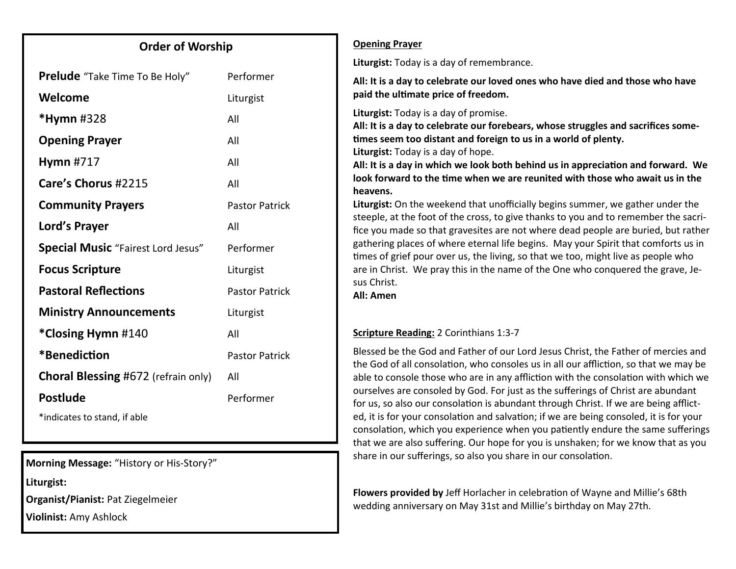### **Order of Worship**

| <b>Prelude</b> "Take Time To Be Holy"     | Performer             |
|-------------------------------------------|-----------------------|
| Welcome                                   | Liturgist             |
| <b>*Hymn</b> #328                         | All                   |
| <b>Opening Prayer</b>                     | All                   |
| <b>Hymn #717</b>                          | All                   |
| Care's Chorus #2215                       | All                   |
| <b>Community Prayers</b>                  | <b>Pastor Patrick</b> |
| Lord's Prayer                             | All                   |
| <b>Special Music</b> "Fairest Lord Jesus" | Performer             |
| <b>Focus Scripture</b>                    | Liturgist             |
| <b>Pastoral Reflections</b>               | <b>Pastor Patrick</b> |
| <b>Ministry Announcements</b>             | Liturgist             |
| *Closing Hymn #140                        | All                   |
| *Benediction                              | <b>Pastor Patrick</b> |
| Choral Blessing #672 (refrain only)       | All                   |
| <b>Postlude</b>                           | Performer             |
| *indicates to stand, if able              |                       |

**Morning Message:** "History or His-Story?"

**Liturgist:** 

**Organist/Pianist:** Pat Ziegelmeier

**Violinist:** Amy Ashlock

#### **Opening Prayer**

**Liturgist:** Today is a day of remembrance.

**All: It is a day to celebrate our loved ones who have died and those who have paid the ultimate price of freedom.**

**Liturgist:** Today is a day of promise.

**All: It is a day to celebrate our forebears, whose struggles and sacrifices sometimes seem too distant and foreign to us in a world of plenty.**

**Liturgist:** Today is a day of hope.

**All: It is a day in which we look both behind us in appreciation and forward. We look forward to the time when we are reunited with those who await us in the heavens.**

**Liturgist:** On the weekend that unofficially begins summer, we gather under the steeple, at the foot of the cross, to give thanks to you and to remember the sacrifice you made so that gravesites are not where dead people are buried, but rather gathering places of where eternal life begins. May your Spirit that comforts us in times of grief pour over us, the living, so that we too, might live as people who are in Christ. We pray this in the name of the One who conquered the grave, Jesus Christ.

**All: Amen**

### **Scripture Reading:** 2 Corinthians 1:3-7

Blessed be the God and Father of our Lord Jesus Christ, the Father of mercies and the God of all consolation, who consoles us in all our affliction, so that we may be able to console those who are in any affliction with the consolation with which we ourselves are consoled by God. For just as the sufferings of Christ are abundant for us, so also our consolation is abundant through Christ. If we are being afflicted, it is for your consolation and salvation; if we are being consoled, it is for your consolation, which you experience when you patiently endure the same sufferings that we are also suffering. Our hope for you is unshaken; for we know that as you share in our sufferings, so also you share in our consolation.

**Flowers provided by** Jeff Horlacher in celebration of Wayne and Millie's 68th wedding anniversary on May 31st and Millie's birthday on May 27th.